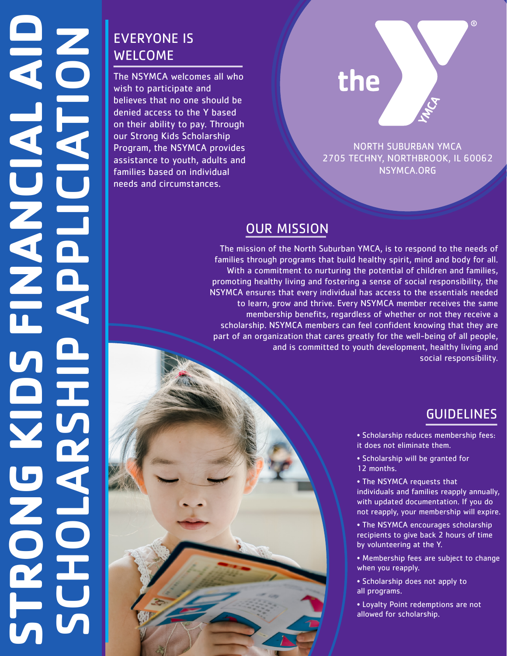## EVERYONE IS WELCOME

The NSYMCA welcomes all who wish to participate and believes that no one should be denied access to the Y based on their ability to pay. Through our Strong Kids Scholarship Program, the NSYMCA provides assistance to youth, adults and families based on individual needs and circumstances.

# the

NORTH SUBURBAN YMCA 2705 TECHNY, NORTHBROOK, IL 60062 NSYMCA.ORG

#### OUR MISSION

The mission of the North Suburban YMCA, is to respond to the needs of families through programs that build healthy spirit, mind and body for all. With a commitment to nurturing the potential of children and families, promoting healthy living and fostering a sense of social responsibility, the NSYMCA ensures that every individual has access to the essentials needed to learn, grow and thrive. Every NSYMCA member receives the same membership benefits, regardless of whether or not they receive a scholarship. NSYMCA members can feel confident knowing that they are part of an organization that cares greatly for the well-being of all people, and is committed to youth development, healthy living and social responsibility.

### GUIDELINES

 $^{\circledR}$ 

• Scholarship reduces membership fees: it does not eliminate them.

• Scholarship will be granted for 12 months.

• The NSYMCA requests that individuals and families reapply annually, with updated documentation. If you do not reapply, your membership will expire.

- The NSYMCA encourages scholarship recipients to give back 2 hours of time by volunteering at the Y.
- Membership fees are subject to change when you reapply.
- Scholarship does not apply to all programs.
- Loyalty Point redemptions are not allowed for scholarship.